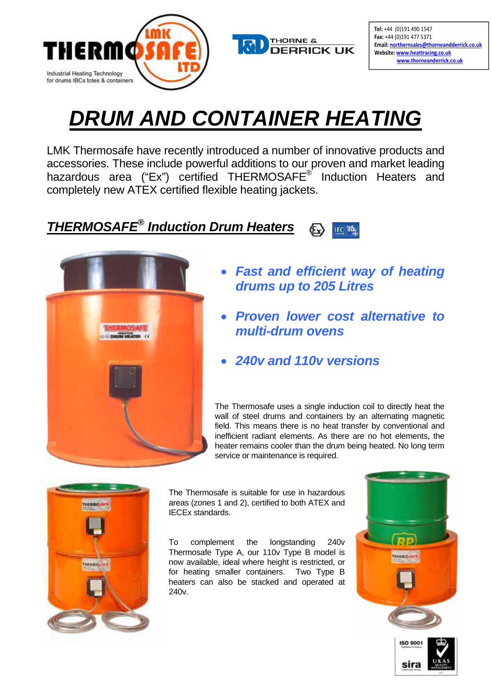



Tel: +44 (0)191 490 1547 Fax: +44 (0)191 477 5371 Email: northernsales@thorneandderrick.co.uk Website: www.heattracing.co.uk www.thorneanderrick.co.uk

# *DRUM AND CONTAINER HEATING*

LMK Thermosafe have recently introduced a number of innovative products and accessories. These include powerful additions to our proven and market leading hazardous area ("Ex") certified THERMOSAFE<sup>®</sup> Induction Heaters and completely new ATEX certified flexible heating jackets.

#### *THERMOSAFE® Induction Drum Heaters* **IEC** TECEX



- *Fast and efficient way of heating drums up to 205 Litres*
- *Proven lower cost alternative to multi-drum ovens*
- *240v and 110v versions*

The Thermosafe uses a single induction coil to directly heat the wall of steel drums and containers by an alternating magnetic field. This means there is no heat transfer by conventional and inefficient radiant elements. As there are no hot elements, the heater remains cooler than the drum being heated. No long term service or maintenance is required.



The Thermosafe is suitable for use in hazardous areas (zones 1 and 2), certified to both ATEX and IECEx standards.

To complement the longstanding 240v Thermosafe Type A, our 110v Type B model is now available, ideal where height is restricted, or for heating smaller containers. Two Type B heaters can also be stacked and operated at 240v.

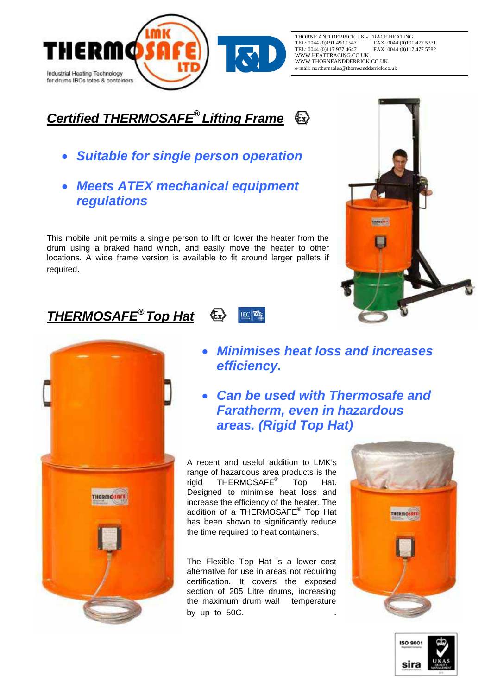

THORNE AND DERRICK UK - TRACE HEATING<br>TEL: 0044 (0)191 490 1547 FAX: 0044 (0)191 TEL: 0044 (0)191 490 1547 FAX: 0044 (0)191 477 5371<br>TEL: 0044 (0)191 977 4647 FAX: 0044 (0)117 477 5582 TAR: 0044 (0)117 477 5582 WWW.HEATTRACING.CO.UK WWW.THORNEANDDERRICK.CO.UK e-mail: northernsales@thorneandderrick.co.uk

# *Certified THERMOSAFE® Lifting Frame*

- *Suitable for single person operation*
- *Meets ATEX mechanical equipment regulations*

This mobile unit permits a single person to lift or lower the heater from the drum using a braked hand winch, and easily move the heater to other locations. A wide frame version is available to fit around larger pallets if required.

**Ex** 

**IEC** TECEX

# *THERMOSAFE® Top Hat*



### • *Minimises heat loss and increases efficiency.*

• *Can be used with Thermosafe and Faratherm, even in hazardous areas. (Rigid Top Hat)* 

A recent and useful addition to LMK's range of hazardous area products is the rigid THERMOSAFE<sup>®</sup> Top Hat. Designed to minimise heat loss and increase the efficiency of the heater. The addition of a THERMOSAFE<sup>®</sup> Top Hat has been shown to significantly reduce the time required to heat containers.

The Flexible Top Hat is a lower cost alternative for use in areas not requiring certification. It covers the exposed section of 205 Litre drums, increasing the maximum drum wall temperature by up to 50C.





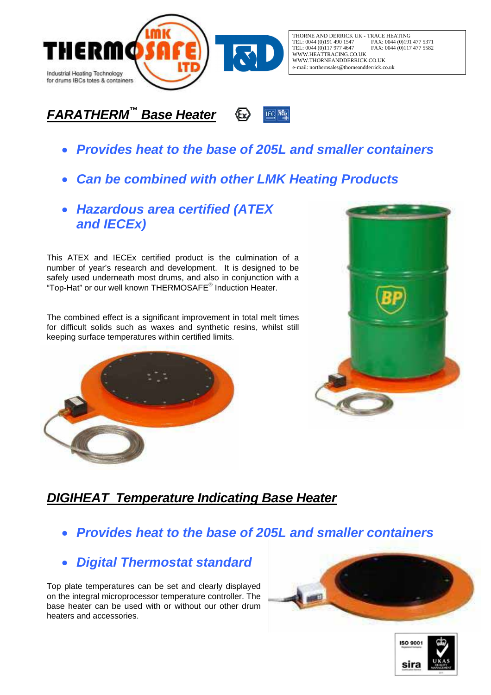

THORNE AND DERRICK UK - TRACE HEATING<br>TEL: 0044 (0)191 490 1547 FAX: 0044 (0)191 TEL: 0044 (0)191 490 1547 FAX: 0044 (0)191 477 5371<br>TEL: 0044 (0)117 977 4647 FAX: 0044 (0)117 477 5582 FAX: 0044 (0)117 477 5582 WWW.HEATTRACING.CO.UK WWW.THORNEANDDERRICK.CO.UK e-mail: northernsales@thorneandderrick.co.uk

#### *FARATHERM™ Base Heater*  **IEC** TECEX

- *Provides heat to the base of 205L and smaller containers*
- *Can be combined with other LMK Heating Products*
- *Hazardous area certified (ATEX and IECEx)*

This ATEX and IECEx certified product is the culmination of a number of year's research and development. It is designed to be safely used underneath most drums, and also in conjunction with a "Top-Hat" or our well known THERMOSAFE® Induction Heater.

The combined effect is a significant improvement in total melt times for difficult solids such as waxes and synthetic resins, whilst still keeping surface temperatures within certified limits.





### *DIGIHEAT Temperature Indicating Base Heater*

- *Provides heat to the base of 205L and smaller containers*
- *Digital Thermostat standard*

Top plate temperatures can be set and clearly displayed on the integral microprocessor temperature controller. The base heater can be used with or without our other drum heaters and accessories.